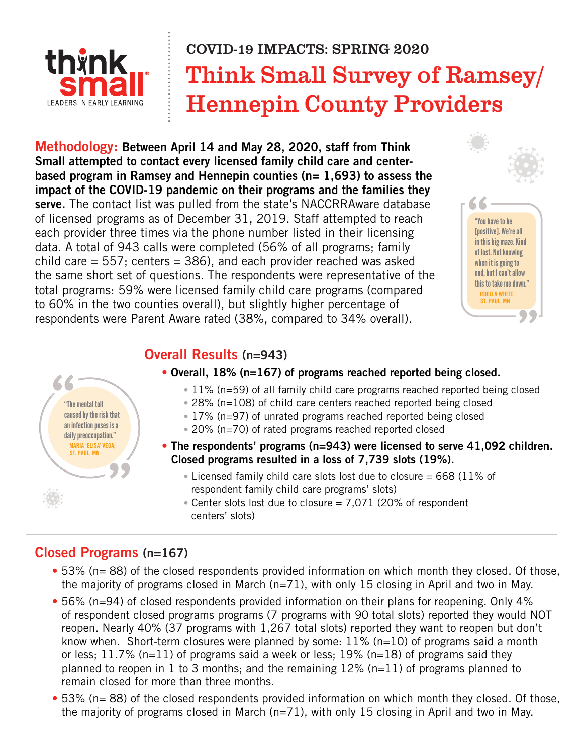

# Think Small Survey of Ramsey/ Hennepin County Providers COVID-19 IMPACTS: SPRING 2020

**Methodology: Between April 14 and May 28, 2020, staff from Think Small attempted to contact every licensed family child care and centerbased program in Ramsey and Hennepin counties (n= 1,693) to assess the impact of the COVID-19 pandemic on their programs and the families they serve.** The contact list was pulled from the state's NACCRRAware database of licensed programs as of December 31, 2019. Staff attempted to reach each provider three times via the phone number listed in their licensing data. A total of 943 calls were completed (56% of all programs; family child care  $= 557$ ; centers  $= 386$ ), and each provider reached was asked the same short set of questions. The respondents were representative of the total programs: 59% were licensed family child care programs (compared to 60% in the two counties overall), but slightly higher percentage of respondents were Parent Aware rated (38%, compared to 34% overall).



## **Overall Results (n=943)**

- **Overall, 18% (n=167) of programs reached reported being closed.**
	- 11% (n=59) of all family child care programs reached reported being closed
	- 28% (n=108) of child care centers reached reported being closed
	- 17% (n=97) of unrated programs reached reported being closed
	- 20% (n=70) of rated programs reached reported closed
- **The respondents' programs (n=943) were licensed to serve 41,092 children. Closed programs resulted in a loss of 7,739 slots (19%).**
	- Licensed family child care slots lost due to closure =  $668$  (11% of respondent family child care programs' slots)
	- Center slots lost due to closure  $= 7,071$  (20% of respondent centers' slots)

# **Closed Programs (n=167)**

- 53% (n= 88) of the closed respondents provided information on which month they closed. Of those, the majority of programs closed in March (n=71), with only 15 closing in April and two in May.
- 56% (n=94) of closed respondents provided information on their plans for reopening. Only 4% of respondent closed programs programs (7 programs with 90 total slots) reported they would NOT reopen. Nearly 40% (37 programs with 1,267 total slots) reported they want to reopen but don't know when. Short-term closures were planned by some: 11% (n=10) of programs said a month or less; 11.7% ( $n=11$ ) of programs said a week or less; 19% ( $n=18$ ) of programs said they planned to reopen in 1 to 3 months; and the remaining 12% (n=11) of programs planned to remain closed for more than three months.
- 53% (n= 88) of the closed respondents provided information on which month they closed. Of those, the majority of programs closed in March (n=71), with only 15 closing in April and two in May.

"The mental toll caused by the risk that an infection poses is a daily preoccupation." **MARIA 'ELISA' VEGA, ST. PAUL, MN**